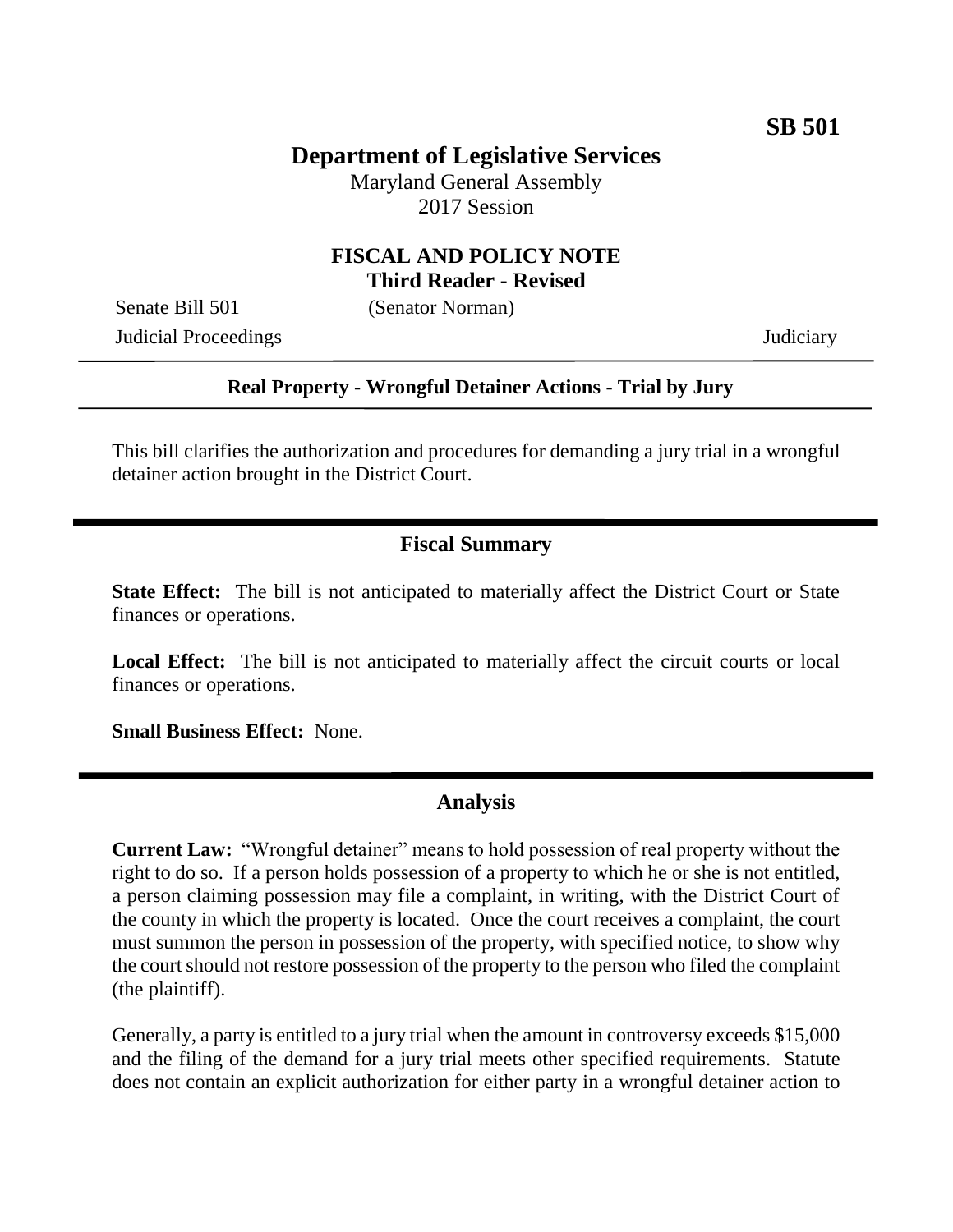# **Department of Legislative Services**

Maryland General Assembly 2017 Session

### **FISCAL AND POLICY NOTE Third Reader - Revised**

Judicial Proceedings Judiciary

Senate Bill 501 (Senator Norman)

#### **Real Property - Wrongful Detainer Actions - Trial by Jury**

This bill clarifies the authorization and procedures for demanding a jury trial in a wrongful detainer action brought in the District Court.

## **Fiscal Summary**

**State Effect:** The bill is not anticipated to materially affect the District Court or State finances or operations.

Local Effect: The bill is not anticipated to materially affect the circuit courts or local finances or operations.

**Small Business Effect:** None.

### **Analysis**

**Current Law:** "Wrongful detainer" means to hold possession of real property without the right to do so. If a person holds possession of a property to which he or she is not entitled, a person claiming possession may file a complaint, in writing, with the District Court of the county in which the property is located. Once the court receives a complaint, the court must summon the person in possession of the property, with specified notice, to show why the court should not restore possession of the property to the person who filed the complaint (the plaintiff).

Generally, a party is entitled to a jury trial when the amount in controversy exceeds \$15,000 and the filing of the demand for a jury trial meets other specified requirements. Statute does not contain an explicit authorization for either party in a wrongful detainer action to